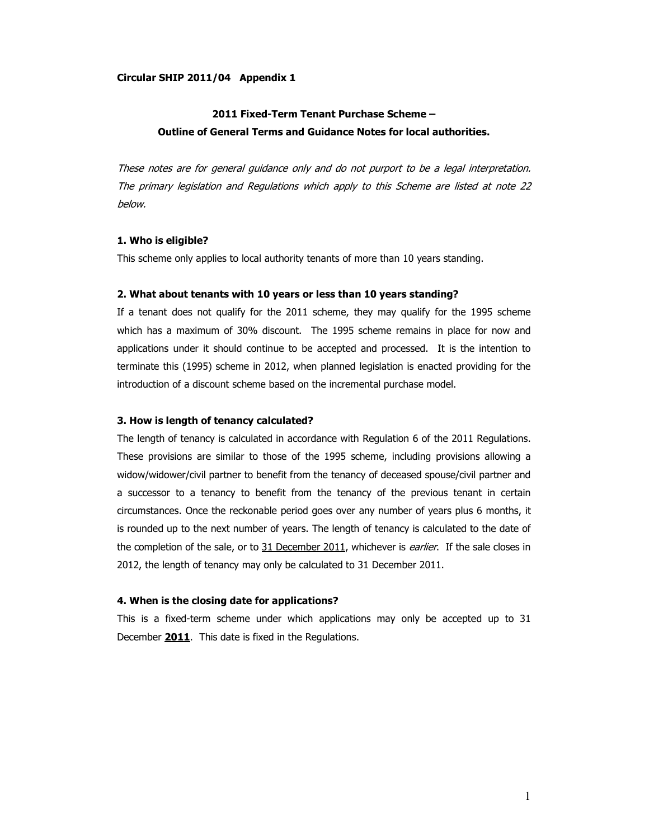### Circular SHIP 2011/04 Appendix 1

# 2011 Fixed-Term Tenant Purchase Scheme – Outline of General Terms and Guidance Notes for local authorities.

These notes are for general guidance only and do not purport to be a legal interpretation. The primary legislation and Regulations which apply to this Scheme are listed at note 22 below.

### 1. Who is eligible?

This scheme only applies to local authority tenants of more than 10 years standing.

# 2. What about tenants with 10 years or less than 10 years standing?

If a tenant does not qualify for the 2011 scheme, they may qualify for the 1995 scheme which has a maximum of 30% discount. The 1995 scheme remains in place for now and applications under it should continue to be accepted and processed. It is the intention to terminate this (1995) scheme in 2012, when planned legislation is enacted providing for the introduction of a discount scheme based on the incremental purchase model.

# 3. How is length of tenancy calculated?

The length of tenancy is calculated in accordance with Regulation 6 of the 2011 Regulations. These provisions are similar to those of the 1995 scheme, including provisions allowing a widow/widower/civil partner to benefit from the tenancy of deceased spouse/civil partner and a successor to a tenancy to benefit from the tenancy of the previous tenant in certain circumstances. Once the reckonable period goes over any number of years plus 6 months, it is rounded up to the next number of years. The length of tenancy is calculated to the date of the completion of the sale, or to 31 December 2011, whichever is *earlier*. If the sale closes in 2012, the length of tenancy may only be calculated to 31 December 2011.

# 4. When is the closing date for applications?

This is a fixed-term scheme under which applications may only be accepted up to 31 December 2011. This date is fixed in the Regulations.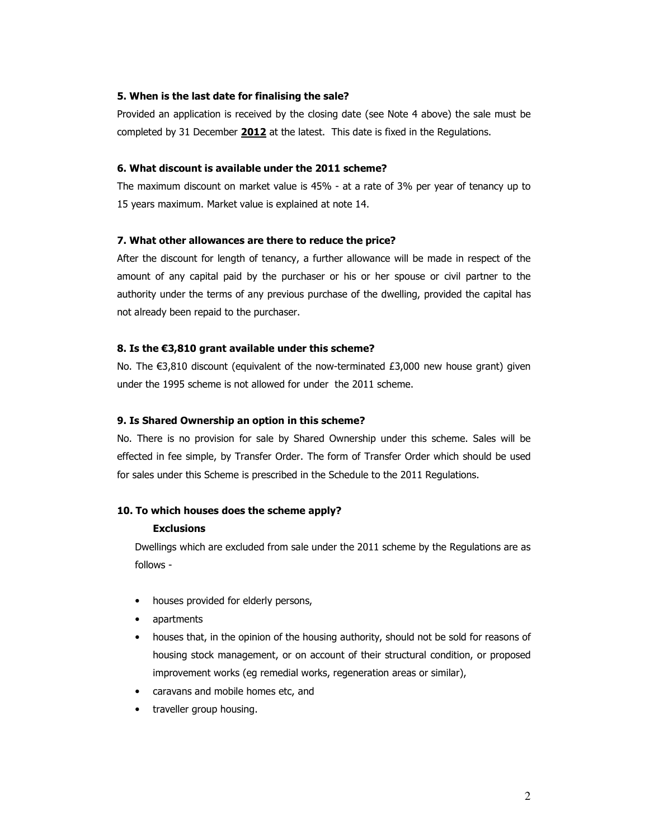# 5. When is the last date for finalising the sale?

Provided an application is received by the closing date (see Note 4 above) the sale must be completed by 31 December 2012 at the latest. This date is fixed in the Regulations.

## 6. What discount is available under the 2011 scheme?

The maximum discount on market value is 45% - at a rate of 3% per year of tenancy up to 15 years maximum. Market value is explained at note 14.

# 7. What other allowances are there to reduce the price?

After the discount for length of tenancy, a further allowance will be made in respect of the amount of any capital paid by the purchaser or his or her spouse or civil partner to the authority under the terms of any previous purchase of the dwelling, provided the capital has not already been repaid to the purchaser.

# 8. Is the €3,810 grant available under this scheme?

No. The €3,810 discount (equivalent of the now-terminated £3,000 new house grant) given under the 1995 scheme is not allowed for under the 2011 scheme.

# 9. Is Shared Ownership an option in this scheme?

No. There is no provision for sale by Shared Ownership under this scheme. Sales will be effected in fee simple, by Transfer Order. The form of Transfer Order which should be used for sales under this Scheme is prescribed in the Schedule to the 2011 Regulations.

#### 10. To which houses does the scheme apply?

## Exclusions

Dwellings which are excluded from sale under the 2011 scheme by the Regulations are as follows -

- houses provided for elderly persons,
- apartments
- houses that, in the opinion of the housing authority, should not be sold for reasons of housing stock management, or on account of their structural condition, or proposed improvement works (eg remedial works, regeneration areas or similar),
- caravans and mobile homes etc, and
- traveller group housing.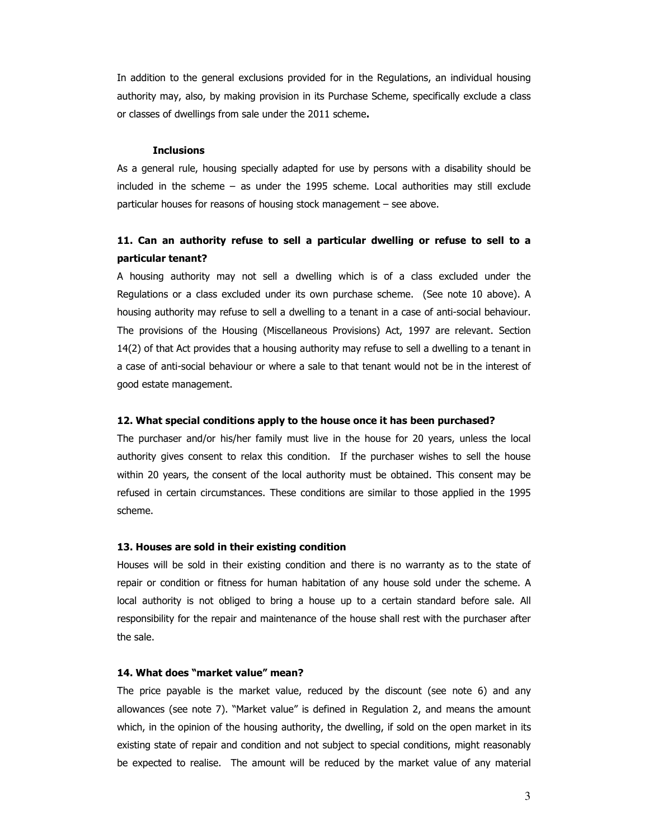In addition to the general exclusions provided for in the Regulations, an individual housing authority may, also, by making provision in its Purchase Scheme, specifically exclude a class or classes of dwellings from sale under the 2011 scheme.

#### **Inclusions**

As a general rule, housing specially adapted for use by persons with a disability should be included in the scheme – as under the 1995 scheme. Local authorities may still exclude particular houses for reasons of housing stock management – see above.

# 11. Can an authority refuse to sell a particular dwelling or refuse to sell to a particular tenant?

A housing authority may not sell a dwelling which is of a class excluded under the Regulations or a class excluded under its own purchase scheme. (See note 10 above). A housing authority may refuse to sell a dwelling to a tenant in a case of anti-social behaviour. The provisions of the Housing (Miscellaneous Provisions) Act, 1997 are relevant. Section 14(2) of that Act provides that a housing authority may refuse to sell a dwelling to a tenant in a case of anti-social behaviour or where a sale to that tenant would not be in the interest of good estate management.

### 12. What special conditions apply to the house once it has been purchased?

The purchaser and/or his/her family must live in the house for 20 years, unless the local authority gives consent to relax this condition. If the purchaser wishes to sell the house within 20 years, the consent of the local authority must be obtained. This consent may be refused in certain circumstances. These conditions are similar to those applied in the 1995 scheme.

#### 13. Houses are sold in their existing condition

Houses will be sold in their existing condition and there is no warranty as to the state of repair or condition or fitness for human habitation of any house sold under the scheme. A local authority is not obliged to bring a house up to a certain standard before sale. All responsibility for the repair and maintenance of the house shall rest with the purchaser after the sale.

# 14. What does "market value" mean?

The price payable is the market value, reduced by the discount (see note 6) and any allowances (see note 7). "Market value" is defined in Regulation 2, and means the amount which, in the opinion of the housing authority, the dwelling, if sold on the open market in its existing state of repair and condition and not subject to special conditions, might reasonably be expected to realise. The amount will be reduced by the market value of any material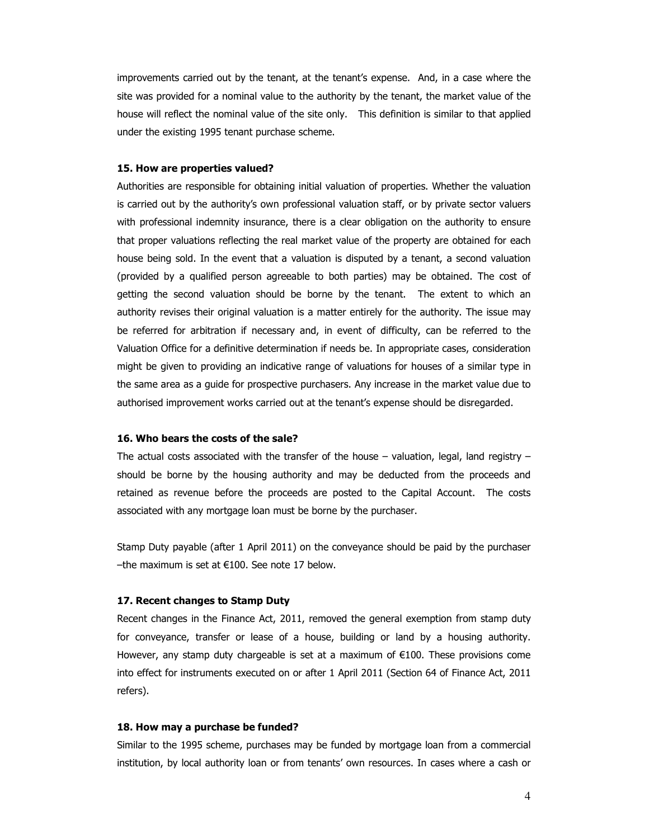improvements carried out by the tenant, at the tenant's expense. And, in a case where the site was provided for a nominal value to the authority by the tenant, the market value of the house will reflect the nominal value of the site only. This definition is similar to that applied under the existing 1995 tenant purchase scheme.

# 15. How are properties valued?

Authorities are responsible for obtaining initial valuation of properties. Whether the valuation is carried out by the authority's own professional valuation staff, or by private sector valuers with professional indemnity insurance, there is a clear obligation on the authority to ensure that proper valuations reflecting the real market value of the property are obtained for each house being sold. In the event that a valuation is disputed by a tenant, a second valuation (provided by a qualified person agreeable to both parties) may be obtained. The cost of getting the second valuation should be borne by the tenant. The extent to which an authority revises their original valuation is a matter entirely for the authority. The issue may be referred for arbitration if necessary and, in event of difficulty, can be referred to the Valuation Office for a definitive determination if needs be. In appropriate cases, consideration might be given to providing an indicative range of valuations for houses of a similar type in the same area as a guide for prospective purchasers. Any increase in the market value due to authorised improvement works carried out at the tenant's expense should be disregarded.

# 16. Who bears the costs of the sale?

The actual costs associated with the transfer of the house  $-$  valuation, legal, land registry  $$ should be borne by the housing authority and may be deducted from the proceeds and retained as revenue before the proceeds are posted to the Capital Account. The costs associated with any mortgage loan must be borne by the purchaser.

Stamp Duty payable (after 1 April 2011) on the conveyance should be paid by the purchaser –the maximum is set at €100. See note 17 below.

### 17. Recent changes to Stamp Duty

Recent changes in the Finance Act, 2011, removed the general exemption from stamp duty for conveyance, transfer or lease of a house, building or land by a housing authority. However, any stamp duty chargeable is set at a maximum of €100. These provisions come into effect for instruments executed on or after 1 April 2011 (Section 64 of Finance Act, 2011 refers).

## 18. How may a purchase be funded?

Similar to the 1995 scheme, purchases may be funded by mortgage loan from a commercial institution, by local authority loan or from tenants' own resources. In cases where a cash or